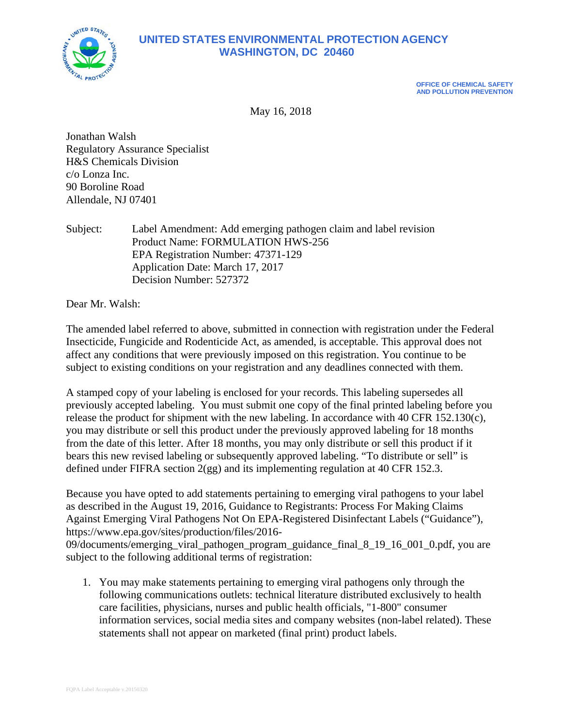

## **UNITED STATES ENVIRONMENTAL PROTECTION AGENCY WASHINGTON, DC 20460**

**OFFICE OF CHEMICAL SAFETY AND POLLUTION PREVENTION**

May 16, 2018

Jonathan Walsh Regulatory Assurance Specialist H&S Chemicals Division c/o Lonza Inc. 90 Boroline Road Allendale, NJ 07401

Subject: Label Amendment: Add emerging pathogen claim and label revision Product Name: FORMULATION HWS-256 EPA Registration Number: 47371-129 Application Date: March 17, 2017 Decision Number: 527372

Dear Mr. Walsh:

The amended label referred to above, submitted in connection with registration under the Federal Insecticide, Fungicide and Rodenticide Act, as amended, is acceptable. This approval does not affect any conditions that were previously imposed on this registration. You continue to be subject to existing conditions on your registration and any deadlines connected with them.

A stamped copy of your labeling is enclosed for your records. This labeling supersedes all previously accepted labeling. You must submit one copy of the final printed labeling before you release the product for shipment with the new labeling. In accordance with 40 CFR 152.130(c), you may distribute or sell this product under the previously approved labeling for 18 months from the date of this letter. After 18 months, you may only distribute or sell this product if it bears this new revised labeling or subsequently approved labeling. "To distribute or sell" is defined under FIFRA section 2(gg) and its implementing regulation at 40 CFR 152.3.

Because you have opted to add statements pertaining to emerging viral pathogens to your label as described in the August 19, 2016, Guidance to Registrants: Process For Making Claims Against Emerging Viral Pathogens Not On EPA-Registered Disinfectant Labels ("Guidance"), https://www.epa.gov/sites/production/files/2016-

09/documents/emerging\_viral\_pathogen\_program\_guidance\_final\_8\_19\_16\_001\_0.pdf, you are subject to the following additional terms of registration:

1. You may make statements pertaining to emerging viral pathogens only through the following communications outlets: technical literature distributed exclusively to health care facilities, physicians, nurses and public health officials, "1-800" consumer information services, social media sites and company websites (non-label related). These statements shall not appear on marketed (final print) product labels.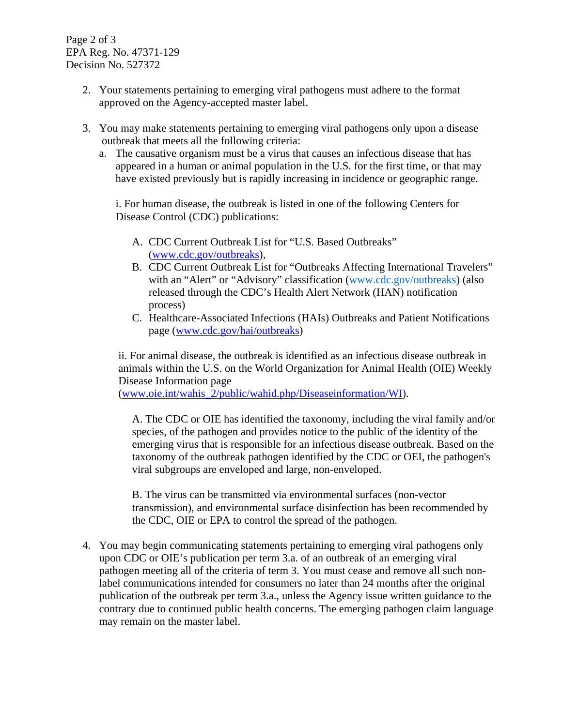Page 2 of 3 EPA Reg. No. 47371-129 Decision No. 527372

- 2. Your statements pertaining to emerging viral pathogens must adhere to the format approved on the Agency-accepted master label.
- 3. You may make statements pertaining to emerging viral pathogens only upon a disease outbreak that meets all the following criteria:
	- a. The causative organism must be a virus that causes an infectious disease that has appeared in a human or animal population in the U.S. for the first time, or that may have existed previously but is rapidly increasing in incidence or geographic range.

i. For human disease, the outbreak is listed in one of the following Centers for Disease Control (CDC) publications:

- A. CDC Current Outbreak List for "U.S. Based Outbreaks" [\(www.cdc.gov/outbreaks\)](http://www.cdc.gov/outbreaks),
- B. CDC Current Outbreak List for "Outbreaks Affecting International Travelers" with an "Alert" or "Advisory" classification (www.cdc.gov/outbreaks) (also released through the CDC's Health Alert Network (HAN) notification process)
- C. Healthcare-Associated Infections (HAIs) Outbreaks and Patient Notifications page [\(www.cdc.gov/hai/outbreaks\)](http://www.cdc.gov/hai/outbreaks)

ii. For animal disease, the outbreak is identified as an infectious disease outbreak in animals within the U.S. on the World Organization for Animal Health (OIE) Weekly Disease Information page

[\(www.oie.int/wahis\\_2/public/wahid.php/Diseaseinformation/WI\)](http://www.oie.int/wahis_2/public/wahid.php/Diseaseinformation/WI).

A. The CDC or OIE has identified the taxonomy, including the viral family and/or species, of the pathogen and provides notice to the public of the identity of the emerging virus that is responsible for an infectious disease outbreak. Based on the taxonomy of the outbreak pathogen identified by the CDC or OEI, the pathogen's viral subgroups are enveloped and large, non-enveloped.

B. The virus can be transmitted via environmental surfaces (non-vector transmission), and environmental surface disinfection has been recommended by the CDC, OIE or EPA to control the spread of the pathogen.

4. You may begin communicating statements pertaining to emerging viral pathogens only upon CDC or OIE's publication per term 3.a. of an outbreak of an emerging viral pathogen meeting all of the criteria of term 3. You must cease and remove all such nonlabel communications intended for consumers no later than 24 months after the original publication of the outbreak per term 3.a., unless the Agency issue written guidance to the contrary due to continued public health concerns. The emerging pathogen claim language may remain on the master label.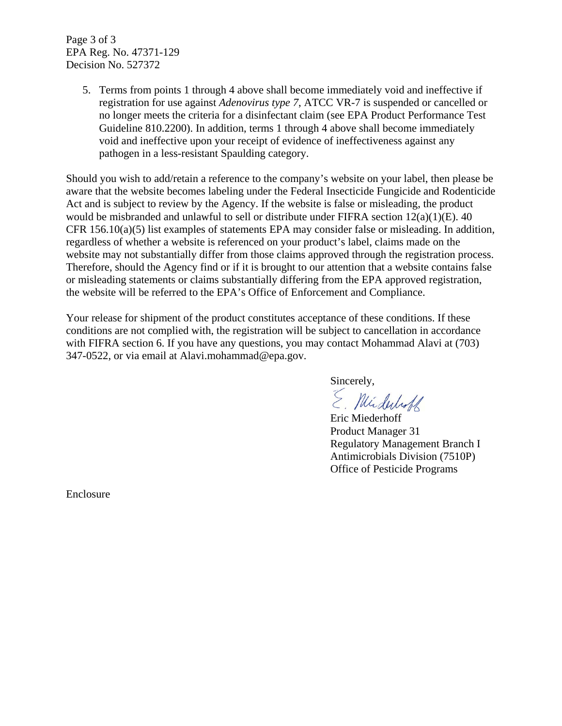Page 3 of 3 EPA Reg. No. 47371-129 Decision No. 527372

> 5. Terms from points 1 through 4 above shall become immediately void and ineffective if registration for use against *Adenovirus type 7*, ATCC VR-7 is suspended or cancelled or no longer meets the criteria for a disinfectant claim (see EPA Product Performance Test Guideline 810.2200). In addition, terms 1 through 4 above shall become immediately void and ineffective upon your receipt of evidence of ineffectiveness against any pathogen in a less-resistant Spaulding category.

Should you wish to add/retain a reference to the company's website on your label, then please be aware that the website becomes labeling under the Federal Insecticide Fungicide and Rodenticide Act and is subject to review by the Agency. If the website is false or misleading, the product would be misbranded and unlawful to sell or distribute under FIFRA section 12(a)(1)(E). 40 CFR 156.10(a)(5) list examples of statements EPA may consider false or misleading. In addition, regardless of whether a website is referenced on your product's label, claims made on the website may not substantially differ from those claims approved through the registration process. Therefore, should the Agency find or if it is brought to our attention that a website contains false or misleading statements or claims substantially differing from the EPA approved registration, the website will be referred to the EPA's Office of Enforcement and Compliance.

Your release for shipment of the product constitutes acceptance of these conditions. If these conditions are not complied with, the registration will be subject to cancellation in accordance with FIFRA section 6. If you have any questions, you may contact Mohammad Alavi at (703) 347-0522, or via email at Alavi.mohammad@epa.gov.

Sincerely,<br>E. Mirduboff

Eric Miederhoff Product Manager 31 Regulatory Management Branch I Antimicrobials Division (7510P) Office of Pesticide Programs

Enclosure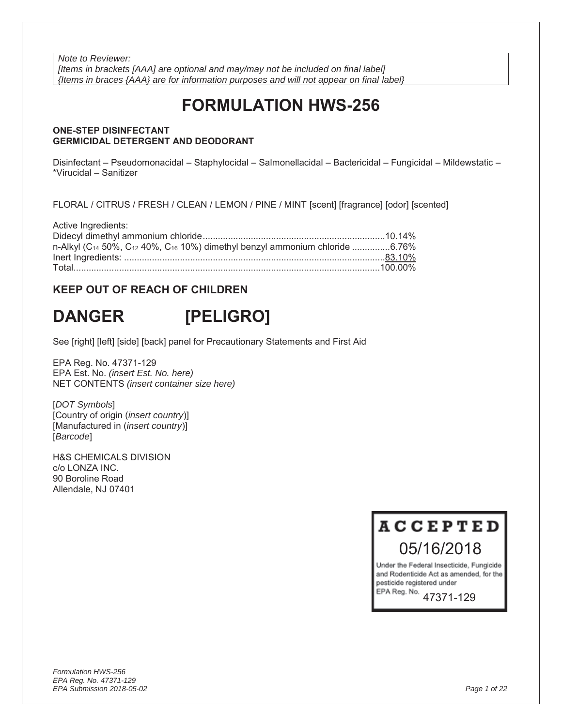*Note to Reviewer: [Items in brackets [AAA] are optional and may/may not be included on final label] {Items in braces {AAA} are for information purposes and will not appear on final label}* 

# **FORMULATION HWS-256**

#### **ONE-STEP DISINFECTANT GERMICIDAL DETERGENT AND DEODORANT**

Disinfectant – Pseudomonacidal – Staphylocidal – Salmonellacidal – Bactericidal – Fungicidal – Mildewstatic – \*Virucidal – Sanitizer

FLORAL / CITRUS / FRESH / CLEAN / LEMON / PINE / MINT [scent] [fragrance] [odor] [scented]

| Active Ingredients:                                                                                             |  |
|-----------------------------------------------------------------------------------------------------------------|--|
|                                                                                                                 |  |
| n-Alkyl (C <sub>14</sub> 50%, C <sub>12</sub> 40%, C <sub>16</sub> 10%) dimethyl benzyl ammonium chloride 6.76% |  |
|                                                                                                                 |  |
|                                                                                                                 |  |

### **KEEP OUT OF REACH OF CHILDREN**

# **DANGER [PELIGRO]**

See [right] [left] [side] [back] panel for Precautionary Statements and First Aid

EPA Reg. No. 47371-129 EPA Est. No. *(insert Est. No. here)* NET CONTENTS *(insert container size here)*

[*DOT Symbols*] [Country of origin (*insert country*)] [Manufactured in (*insert country*)] [*Barcode*]

H&S CHEMICALS DIVISION c/o LONZA INC. 90 Boroline Road Allendale, NJ 07401

> **ACCEPTED** 05/16/2018

Under the Federal Insecticide, Fungicide and Rodenticide Act as amended, for the pesticide registered under EPA Reg. No.

47371-129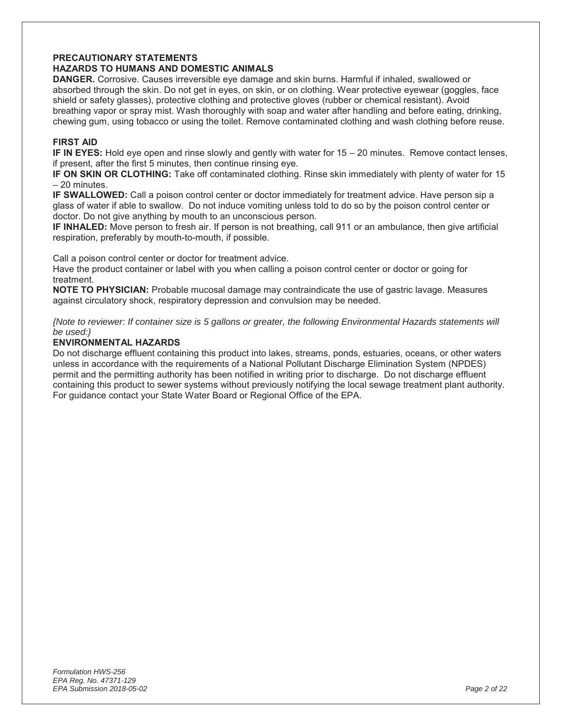#### **PRECAUTIONARY STATEMENTS**

#### **HAZARDS TO HUMANS AND DOMESTIC ANIMALS**

**DANGER.** Corrosive. Causes irreversible eye damage and skin burns. Harmful if inhaled, swallowed or absorbed through the skin. Do not get in eyes, on skin, or on clothing. Wear protective eyewear (goggles, face shield or safety glasses), protective clothing and protective gloves (rubber or chemical resistant). Avoid breathing vapor or spray mist. Wash thoroughly with soap and water after handling and before eating, drinking, chewing gum, using tobacco or using the toilet. Remove contaminated clothing and wash clothing before reuse.

#### **FIRST AID**

**IF IN EYES:** Hold eye open and rinse slowly and gently with water for 15 – 20 minutes. Remove contact lenses, if present, after the first 5 minutes, then continue rinsing eye.

**IF ON SKIN OR CLOTHING:** Take off contaminated clothing. Rinse skin immediately with plenty of water for 15 – 20 minutes.

**IF SWALLOWED:** Call a poison control center or doctor immediately for treatment advice. Have person sip a glass of water if able to swallow. Do not induce vomiting unless told to do so by the poison control center or doctor. Do not give anything by mouth to an unconscious person.

**IF INHALED:** Move person to fresh air. If person is not breathing, call 911 or an ambulance, then give artificial respiration, preferably by mouth-to-mouth, if possible.

Call a poison control center or doctor for treatment advice.

Have the product container or label with you when calling a poison control center or doctor or going for treatment.

**NOTE TO PHYSICIAN:** Probable mucosal damage may contraindicate the use of gastric lavage. Measures against circulatory shock, respiratory depression and convulsion may be needed.

*{Note to reviewer*: *If container size is 5 gallons or greater, the following Environmental Hazards statements will be used:}*

#### **ENVIRONMENTAL HAZARDS**

Do not discharge effluent containing this product into lakes, streams, ponds, estuaries, oceans, or other waters unless in accordance with the requirements of a National Pollutant Discharge Elimination System (NPDES) permit and the permitting authority has been notified in writing prior to discharge. Do not discharge effluent containing this product to sewer systems without previously notifying the local sewage treatment plant authority. For guidance contact your State Water Board or Regional Office of the EPA.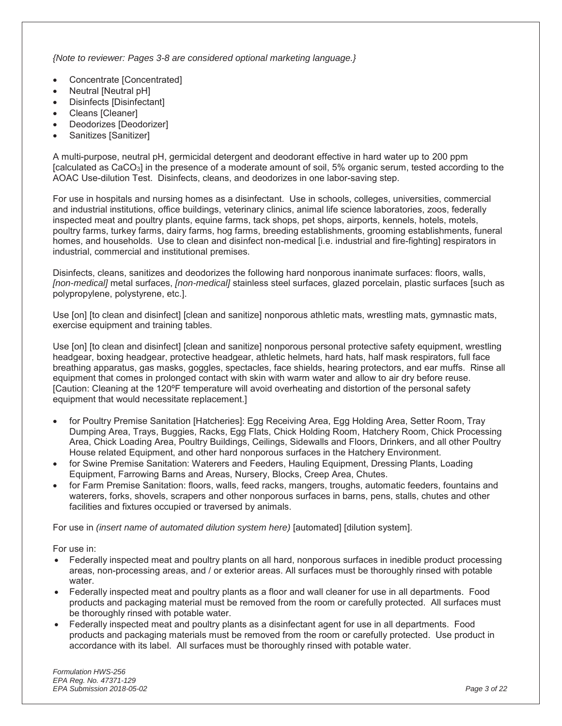*{Note to reviewer: Pages 3-8 are considered optional marketing language.}*

- Concentrate [Concentrated]
- Neutral [Neutral pH]
- Disinfects [Disinfectant]
- Cleans [Cleaner]
- Deodorizes [Deodorizer]
- Sanitizes [Sanitizer]

A multi-purpose, neutral pH, germicidal detergent and deodorant effective in hard water up to 200 ppm [calculated as CaCO3] in the presence of a moderate amount of soil, 5% organic serum, tested according to the AOAC Use-dilution Test. Disinfects, cleans, and deodorizes in one labor-saving step.

For use in hospitals and nursing homes as a disinfectant. Use in schools, colleges, universities, commercial and industrial institutions, office buildings, veterinary clinics, animal life science laboratories, zoos, federally inspected meat and poultry plants, equine farms, tack shops, pet shops, airports, kennels, hotels, motels, poultry farms, turkey farms, dairy farms, hog farms, breeding establishments, grooming establishments, funeral homes, and households. Use to clean and disinfect non-medical [i.e. industrial and fire-fighting] respirators in industrial, commercial and institutional premises.

Disinfects, cleans, sanitizes and deodorizes the following hard nonporous inanimate surfaces: floors, walls, *[non-medical]* metal surfaces, *[non-medical]* stainless steel surfaces, glazed porcelain, plastic surfaces [such as polypropylene, polystyrene, etc.].

Use [on] [to clean and disinfect] [clean and sanitize] nonporous athletic mats, wrestling mats, gymnastic mats, exercise equipment and training tables.

Use [on] [to clean and disinfect] [clean and sanitize] nonporous personal protective safety equipment, wrestling headgear, boxing headgear, protective headgear, athletic helmets, hard hats, half mask respirators, full face breathing apparatus, gas masks, goggles, spectacles, face shields, hearing protectors, and ear muffs. Rinse all equipment that comes in prolonged contact with skin with warm water and allow to air dry before reuse. [Caution: Cleaning at the 120ºF temperature will avoid overheating and distortion of the personal safety equipment that would necessitate replacement.]

- for Poultry Premise Sanitation [Hatcheries]: Egg Receiving Area, Egg Holding Area, Setter Room, Tray Dumping Area, Trays, Buggies, Racks, Egg Flats, Chick Holding Room, Hatchery Room, Chick Processing Area, Chick Loading Area, Poultry Buildings, Ceilings, Sidewalls and Floors, Drinkers, and all other Poultry House related Equipment, and other hard nonporous surfaces in the Hatchery Environment.
- for Swine Premise Sanitation: Waterers and Feeders, Hauling Equipment, Dressing Plants, Loading Equipment, Farrowing Barns and Areas, Nursery, Blocks, Creep Area, Chutes.
- for Farm Premise Sanitation: floors, walls, feed racks, mangers, troughs, automatic feeders, fountains and waterers, forks, shovels, scrapers and other nonporous surfaces in barns, pens, stalls, chutes and other facilities and fixtures occupied or traversed by animals.

For use in *(insert name of automated dilution system here)* [automated] [dilution system].

For use in:

- Federally inspected meat and poultry plants on all hard, nonporous surfaces in inedible product processing areas, non-processing areas, and / or exterior areas. All surfaces must be thoroughly rinsed with potable water.
- Federally inspected meat and poultry plants as a floor and wall cleaner for use in all departments. Food products and packaging material must be removed from the room or carefully protected. All surfaces must be thoroughly rinsed with potable water.
- Federally inspected meat and poultry plants as a disinfectant agent for use in all departments. Food products and packaging materials must be removed from the room or carefully protected. Use product in accordance with its label. All surfaces must be thoroughly rinsed with potable water.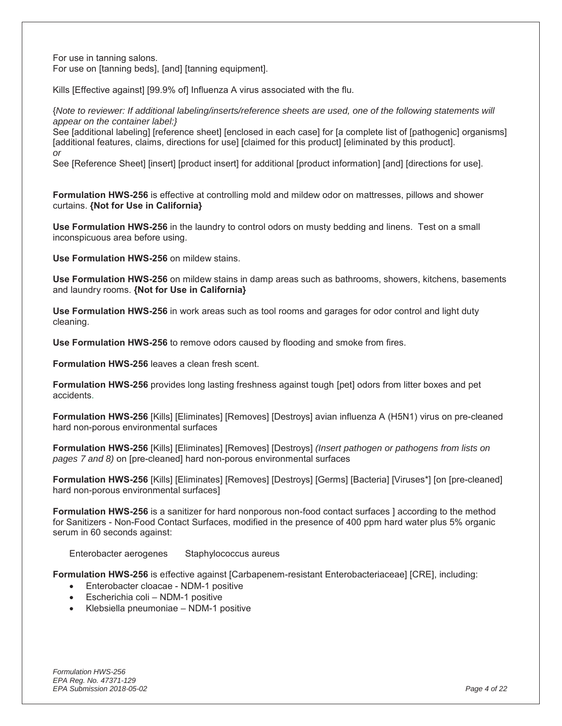For use in tanning salons. For use on [tanning beds], [and] [tanning equipment].

Kills [Effective against] [99.9% of] Influenza A virus associated with the flu.

{*Note to reviewer: If additional labeling/inserts/reference sheets are used, one of the following statements will appear on the container label:}* 

See [additional labeling] [reference sheet] [enclosed in each case] for [a complete list of [pathogenic] organisms] [additional features, claims, directions for use] [claimed for this product] [eliminated by this product]. *or* 

See [Reference Sheet] [insert] [product insert] for additional [product information] [and] [directions for use].

**Formulation HWS-256** is effective at controlling mold and mildew odor on mattresses, pillows and shower curtains. **{Not for Use in California}**

**Use Formulation HWS-256** in the laundry to control odors on musty bedding and linens. Test on a small inconspicuous area before using.

**Use Formulation HWS-256** on mildew stains.

**Use Formulation HWS-256** on mildew stains in damp areas such as bathrooms, showers, kitchens, basements and laundry rooms. **{Not for Use in California}**

**Use Formulation HWS-256** in work areas such as tool rooms and garages for odor control and light duty cleaning.

**Use Formulation HWS-256** to remove odors caused by flooding and smoke from fires.

**Formulation HWS-256** leaves a clean fresh scent.

**Formulation HWS-256** provides long lasting freshness against tough [pet] odors from litter boxes and pet accidents.

**Formulation HWS-256** [Kills] [Eliminates] [Removes] [Destroys] avian influenza A (H5N1) virus on pre-cleaned hard non-porous environmental surfaces

**Formulation HWS-256** [Kills] [Eliminates] [Removes] [Destroys] *(Insert pathogen or pathogens from lists on pages 7 and 8)* on [pre-cleaned] hard non-porous environmental surfaces

**Formulation HWS-256** [Kills] [Eliminates] [Removes] [Destroys] [Germs] [Bacteria] [Viruses\*] [on [pre-cleaned] hard non-porous environmental surfaces]

**Formulation HWS-256** is a sanitizer for hard nonporous non-food contact surfaces I according to the method for Sanitizers - Non-Food Contact Surfaces, modified in the presence of 400 ppm hard water plus 5% organic serum in 60 seconds against:

Enterobacter aerogenes Staphylococcus aureus

**Formulation HWS-256** is effective against [Carbapenem-resistant Enterobacteriaceae] [CRE], including:

- Enterobacter cloacae NDM-1 positive
- $\bullet$  Escherichia coli NDM-1 positive
- $\bullet$  Klebsiella pneumoniae NDM-1 positive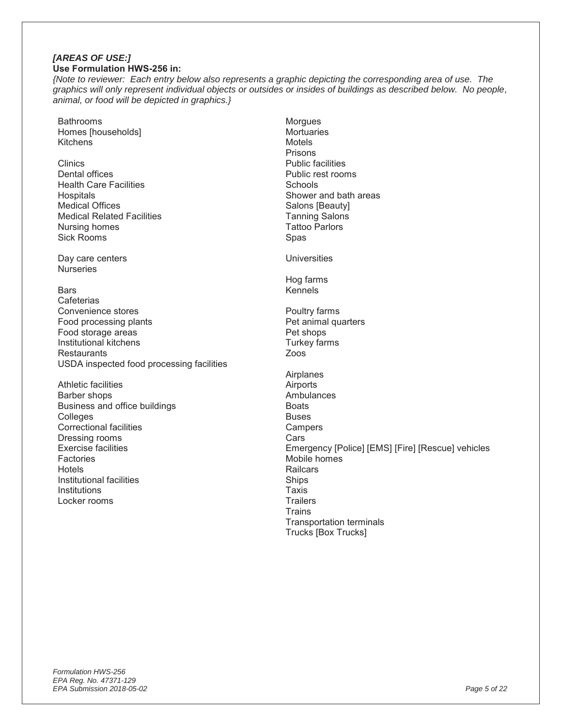#### *[AREAS OF USE:]*  **Use Formulation HWS-256 in:**

*{Note to reviewer: Each entry below also represents a graphic depicting the corresponding area of use. The graphics will only represent individual objects or outsides or insides of buildings as described below. No people, animal, or food will be depicted in graphics.}*

- Bathrooms Homes [households] **Kitchens**
- **Clinics** Dental offices Health Care Facilities Hospitals Medical Offices Medical Related Facilities Nursing homes Sick Rooms

Day care centers **Nurseries** 

- Bars
- **Cafeterias** Convenience stores Food processing plants Food storage areas Institutional kitchens **Restaurants** USDA inspected food processing facilities
- Athletic facilities Barber shops Business and office buildings **Colleges** Correctional facilities Dressing rooms Exercise facilities **Factories** Hotels Institutional facilities **Institutions** Locker rooms

**Morgues Mortuaries** Motels Prisons Public facilities Public rest rooms **Schools** Shower and bath areas Salons [Beauty] Tanning Salons Tattoo Parlors Spas **Universities** Hog farms

Poultry farms Pet animal quarters Pet shops Turkey farms Zoos

Kennels

Airplanes Airports **Ambulances Boats** Buses **Campers Cars** Emergency [Police] [EMS] [Fire] [Rescue] vehicles Mobile homes **Railcars** Ships Taxis **Trailers Trains** Transportation terminals Trucks [Box Trucks]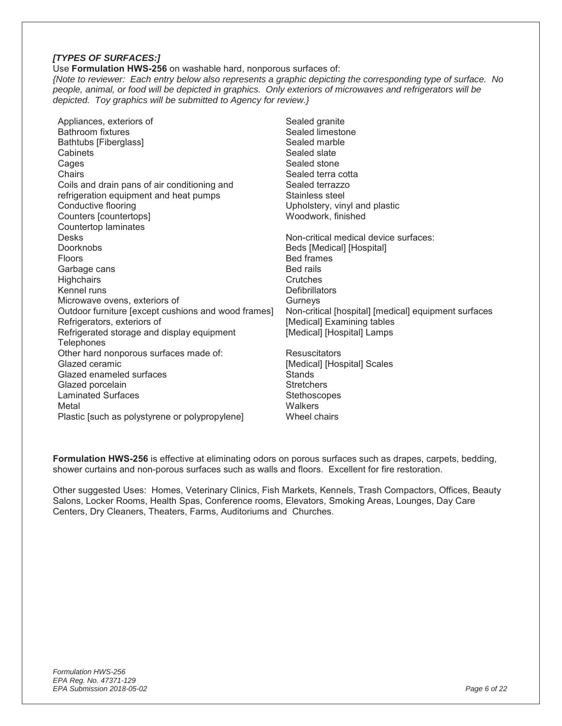#### *[TYPES OF SURFACES:]*

Use **Formulation HWS-256** on washable hard, nonporous surfaces of: *{Note to reviewer: Each entry below also represents a graphic depicting the corresponding type of surface. No people, animal, or food will be depicted in graphics. Only exteriors of microwaves and refrigerators will be depicted. Toy graphics will be submitted to Agency for review.}* 

| Appliances, exteriors of                                                                                                                                                                                       | Sealed granite                                                                                                                       |
|----------------------------------------------------------------------------------------------------------------------------------------------------------------------------------------------------------------|--------------------------------------------------------------------------------------------------------------------------------------|
| Bathroom fixtures                                                                                                                                                                                              | Sealed limestone                                                                                                                     |
| Bathtubs [Fiberglass]                                                                                                                                                                                          | Sealed marble                                                                                                                        |
| Cabinets                                                                                                                                                                                                       | Sealed slate                                                                                                                         |
| Cages                                                                                                                                                                                                          | Sealed stone                                                                                                                         |
| Chairs                                                                                                                                                                                                         | Sealed terra cotta                                                                                                                   |
| Coils and drain pans of air conditioning and                                                                                                                                                                   | Sealed terrazzo                                                                                                                      |
| refrigeration equipment and heat pumps                                                                                                                                                                         | Stainless steel                                                                                                                      |
| Conductive flooring                                                                                                                                                                                            | Upholstery, vinyl and plastic                                                                                                        |
| Counters [countertops]                                                                                                                                                                                         | Woodwork, finished                                                                                                                   |
| Countertop laminates                                                                                                                                                                                           |                                                                                                                                      |
| <b>Desks</b>                                                                                                                                                                                                   | Non-critical medical device surfaces:                                                                                                |
| Doorknobs                                                                                                                                                                                                      | Beds [Medical] [Hospital]                                                                                                            |
| <b>Floors</b>                                                                                                                                                                                                  | <b>Bed frames</b>                                                                                                                    |
| Garbage cans                                                                                                                                                                                                   | <b>Bed rails</b>                                                                                                                     |
| <b>Highchairs</b>                                                                                                                                                                                              | Crutches                                                                                                                             |
| Kennel runs                                                                                                                                                                                                    | <b>Defibrillators</b>                                                                                                                |
| Microwave ovens, exteriors of                                                                                                                                                                                  | Gurneys                                                                                                                              |
| Outdoor furniture [except cushions and wood frames]                                                                                                                                                            | Non-critical [hospital] [medical] equipment surfaces                                                                                 |
| Refrigerators, exteriors of                                                                                                                                                                                    | [Medical] Examining tables                                                                                                           |
| Refrigerated storage and display equipment                                                                                                                                                                     | [Medical] [Hospital] Lamps                                                                                                           |
| Telephones<br>Other hard nonporous surfaces made of:<br>Glazed ceramic<br>Glazed enameled surfaces<br>Glazed porcelain<br><b>Laminated Surfaces</b><br>Metal<br>Plastic [such as polystyrene or polypropylene] | <b>Resuscitators</b><br>[Medical] [Hospital] Scales<br><b>Stands</b><br><b>Stretchers</b><br>Stethoscopes<br>Walkers<br>Wheel chairs |

**Formulation HWS-256** is effective at eliminating odors on porous surfaces such as drapes, carpets, bedding, shower curtains and non-porous surfaces such as walls and floors. Excellent for fire restoration.

Other suggested Uses: Homes, Veterinary Clinics, Fish Markets, Kennels, Trash Compactors, Offices, Beauty Salons, Locker Rooms, Health Spas, Conference rooms, Elevators, Smoking Areas, Lounges, Day Care Centers, Dry Cleaners, Theaters, Farms, Auditoriums and Churches.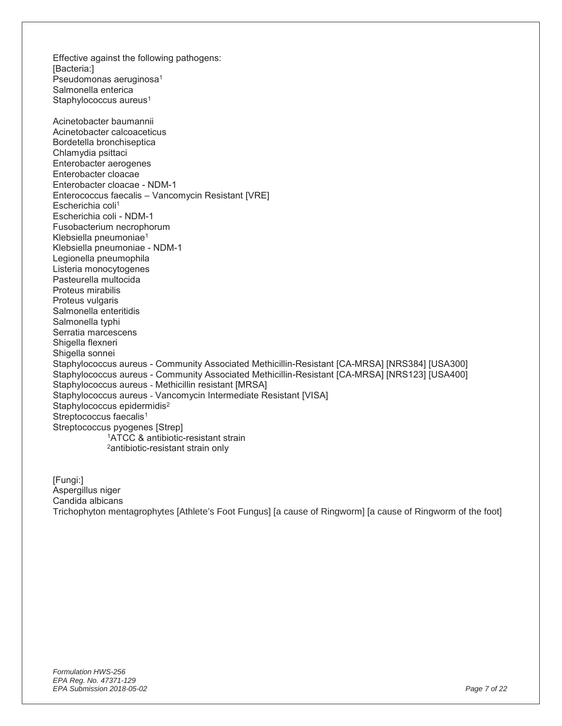[Bacteria:] Pseudomonas aeruginosa<sup>1</sup> Salmonella enterica Staphylococcus aureus<sup>1</sup> Acinetobacter baumannii Acinetobacter calcoaceticus Bordetella bronchiseptica Chlamydia psittaci Enterobacter aerogenes Enterobacter cloacae Enterobacter cloacae - NDM-1 Enterococcus faecalis – Vancomycin Resistant [VRE] Escherichia coli<sup>1</sup> Escherichia coli - NDM-1 Fusobacterium necrophorum Klebsiella pneumoniae1 Klebsiella pneumoniae - NDM-1 Legionella pneumophila Listeria monocytogenes Pasteurella multocida Proteus mirabilis Proteus vulgaris Salmonella enteritidis Salmonella typhi Serratia marcescens Shigella flexneri Shigella sonnei Staphylococcus aureus - Community Associated Methicillin-Resistant [CA-MRSA] [NRS384] [USA300] Staphylococcus aureus - Community Associated Methicillin-Resistant [CA-MRSA] [NRS123] [USA400] Staphylococcus aureus - Methicillin resistant [MRSA] Staphylococcus aureus - Vancomycin Intermediate Resistant [VISA] Staphylococcus epidermidis<sup>2</sup> Streptococcus faecalis<sup>1</sup> Streptococcus pyogenes [Strep] 1ATCC & antibiotic-resistant strain 2antibiotic-resistant strain only

[Fungi:] Aspergillus niger Candida albicans Trichophyton mentagrophytes [Athlete's Foot Fungus] [a cause of Ringworm] [a cause of Ringworm of the foot]

Effective against the following pathogens: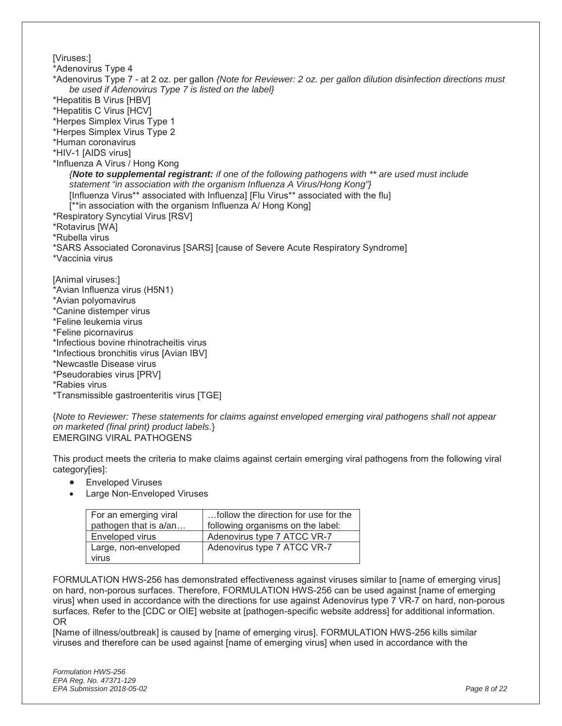[Viruses:] \*Adenovirus Type 4 \*Adenovirus Type 7 - at 2 oz. per gallon *{Note for Reviewer: 2 oz. per gallon dilution disinfection directions must be used if Adenovirus Type 7 is listed on the label}*  \*Hepatitis B Virus [HBV] \*Hepatitis C Virus [HCV] \*Herpes Simplex Virus Type 1 \*Herpes Simplex Virus Type 2 \*Human coronavirus \*HIV-1 [AIDS virus] \*Influenza A Virus / Hong Kong *{Note to supplemental registrant: if one of the following pathogens with \*\* are used must include statement "in association with the organism Influenza A Virus/Hong Kong"}* [Influenza Virus\*\* associated with Influenza] [Flu Virus\*\* associated with the flu] [\*\*in association with the organism Influenza A/ Hong Kong] \*Respiratory Syncytial Virus [RSV] \*Rotavirus [WA] \*Rubella virus \*SARS Associated Coronavirus [SARS] [cause of Severe Acute Respiratory Syndrome] \*Vaccinia virus [Animal viruses:] \*Avian Influenza virus (H5N1) \*Avian polyomavirus \*Canine distemper virus \*Feline leukemia virus \*Feline picornavirus \*Infectious bovine rhinotracheitis virus \*Infectious bronchitis virus [Avian IBV] \*Newcastle Disease virus \*Pseudorabies virus [PRV] \*Rabies virus \*Transmissible gastroenteritis virus [TGE]

{*Note to Reviewer: These statements for claims against enveloped emerging viral pathogens shall not appear on marketed (final print) product labels.*} EMERGING VIRAL PATHOGENS

This product meets the criteria to make claims against certain emerging viral pathogens from the following viral category[ies]:

- Enveloped Viruses
- Large Non-Enveloped Viruses

| For an emerging viral | follow the direction for use for the |
|-----------------------|--------------------------------------|
| pathogen that is a/an | following organisms on the label:    |
| Enveloped virus       | Adenovirus type 7 ATCC VR-7          |
| Large, non-enveloped  | Adenovirus type 7 ATCC VR-7          |
| virus                 |                                      |

FORMULATION HWS-256 has demonstrated effectiveness against viruses similar to [name of emerging virus] on hard, non-porous surfaces. Therefore, FORMULATION HWS-256 can be used against [name of emerging virus] when used in accordance with the directions for use against Adenovirus type 7 VR-7 on hard, non-porous surfaces. Refer to the [CDC or OIE] website at [pathogen-specific website address] for additional information. OR

[Name of illness/outbreak] is caused by [name of emerging virus]. FORMULATION HWS-256 kills similar viruses and therefore can be used against [name of emerging virus] when used in accordance with the

*Formulation HWS-256 EPA Reg. No. 47371-129 EPA Submission 2018-05-02 Page 8 of 22*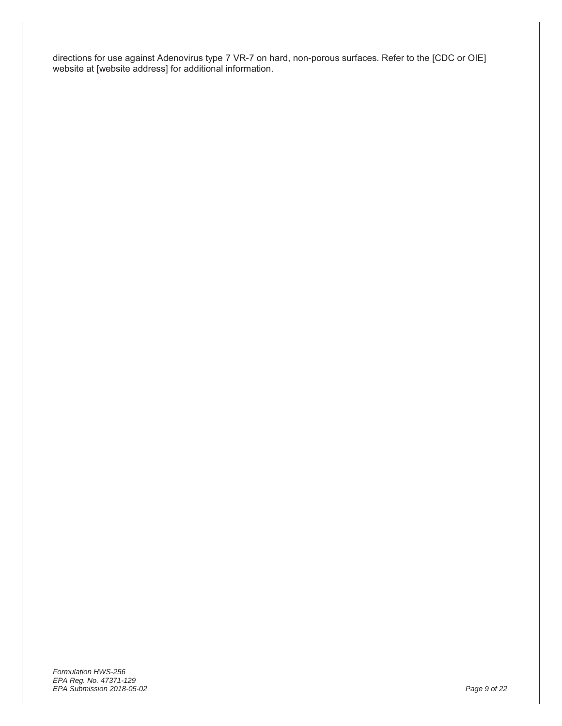directions for use against Adenovirus type 7 VR-7 on hard, non-porous surfaces. Refer to the [CDC or OIE] website at [website address] for additional information.

*Formulation HWS-256 EPA Reg. No. 47371-129 EPA Submission 2018-05-02 Page 9 of 22*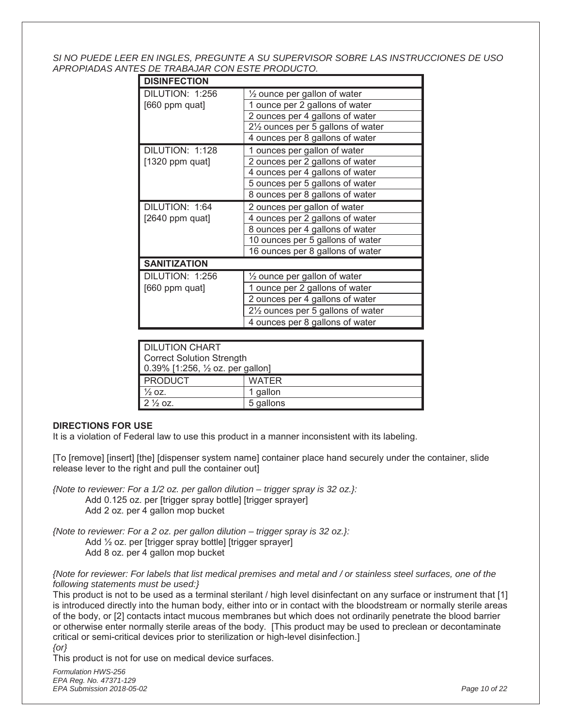*SI NO PUEDE LEER EN INGLES, PREGUNTE A SU SUPERVISOR SOBRE LAS INSTRUCCIONES DE USO APROPIADAS ANTES DE TRABAJAR CON ESTE PRODUCTO.*

| <b>DISINFECTION</b> |                                         |
|---------------------|-----------------------------------------|
| DILUTION: 1:256     | $\frac{1}{2}$ ounce per gallon of water |
| [660 ppm quat]      | 1 ounce per 2 gallons of water          |
|                     | 2 ounces per 4 gallons of water         |
|                     | 21/2 ounces per 5 gallons of water      |
|                     | 4 ounces per 8 gallons of water         |
| DILUTION: 1:128     | 1 ounces per gallon of water            |
| $[1320$ ppm quat]   | 2 ounces per 2 gallons of water         |
|                     | 4 ounces per 4 gallons of water         |
|                     | 5 ounces per 5 gallons of water         |
|                     | 8 ounces per 8 gallons of water         |
|                     |                                         |
| DILUTION: 1:64      | 2 ounces per gallon of water            |
| [2640 ppm quat]     | 4 ounces per 2 gallons of water         |
|                     | 8 ounces per 4 gallons of water         |
|                     | 10 ounces per 5 gallons of water        |
|                     | 16 ounces per 8 gallons of water        |
| <b>SANITIZATION</b> |                                         |
| DILUTION: 1:256     | 1/2 ounce per gallon of water           |
| [660 ppm quat]      | 1 ounce per 2 gallons of water          |
|                     | 2 ounces per 4 gallons of water         |
|                     | 21/2 ounces per 5 gallons of water      |

| <b>DILUTION CHART</b>                       |              |  |
|---------------------------------------------|--------------|--|
| <b>Correct Solution Strength</b>            |              |  |
| 0.39% [1:256, $\frac{1}{2}$ oz. per gallon] |              |  |
| <b>PRODUCT</b>                              | <b>WATER</b> |  |
| $\frac{1}{2}$ OZ.                           | 1 gallon     |  |
| $2\frac{1}{2}$ oz.                          | 5 gallons    |  |

#### **DIRECTIONS FOR USE**

It is a violation of Federal law to use this product in a manner inconsistent with its labeling.

[To [remove] [insert] [the] [dispenser system name] container place hand securely under the container, slide release lever to the right and pull the container out]

- *{Note to reviewer: For a 1/2 oz. per gallon dilution trigger spray is 32 oz.}:*  Add 0.125 oz. per [trigger spray bottle] [trigger sprayer] Add 2 oz. per 4 gallon mop bucket
- *{Note to reviewer: For a 2 oz. per gallon dilution trigger spray is 32 oz.}:*  Add ½ oz. per [trigger spray bottle] [trigger sprayer] Add 8 oz. per 4 gallon mop bucket

*{Note for reviewer: For labels that list medical premises and metal and / or stainless steel surfaces, one of the following statements must be used:}* 

This product is not to be used as a terminal sterilant / high level disinfectant on any surface or instrument that [1] is introduced directly into the human body, either into or in contact with the bloodstream or normally sterile areas of the body, or [2] contacts intact mucous membranes but which does not ordinarily penetrate the blood barrier or otherwise enter normally sterile areas of the body. [This product may be used to preclean or decontaminate critical or semi-critical devices prior to sterilization or high-level disinfection.]

*{or}* 

This product is not for use on medical device surfaces.

*Formulation HWS-256 EPA Reg. No. 47371-129 EPA Submission 2018-05-02 Page 10 of 22*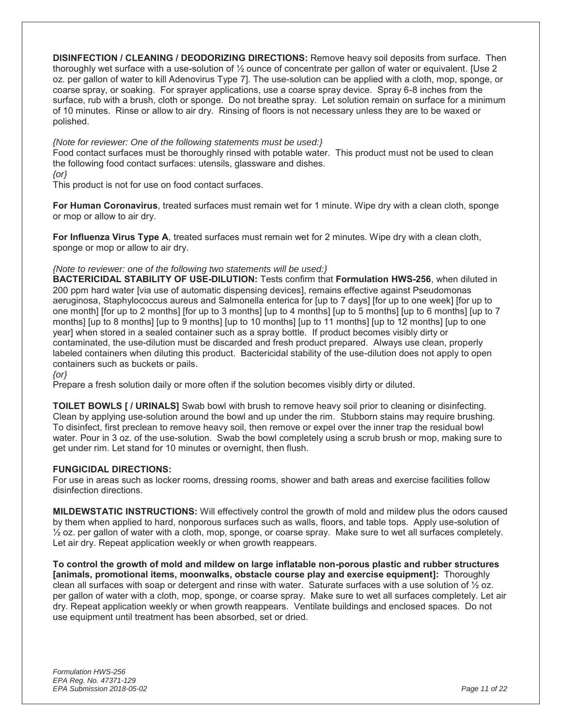**DISINFECTION / CLEANING / DEODORIZING DIRECTIONS:** Remove heavy soil deposits from surface. Then thoroughly wet surface with a use-solution of ½ ounce of concentrate per gallon of water or equivalent. [Use 2 oz. per gallon of water to kill Adenovirus Type 7]. The use-solution can be applied with a cloth, mop, sponge, or coarse spray, or soaking. For sprayer applications, use a coarse spray device. Spray 6-8 inches from the surface, rub with a brush, cloth or sponge. Do not breathe spray. Let solution remain on surface for a minimum of 10 minutes. Rinse or allow to air dry. Rinsing of floors is not necessary unless they are to be waxed or polished.

#### *{Note for reviewer: One of the following statements must be used:}*

Food contact surfaces must be thoroughly rinsed with potable water. This product must not be used to clean the following food contact surfaces: utensils, glassware and dishes.

*{or}* 

This product is not for use on food contact surfaces.

**For Human Coronavirus**, treated surfaces must remain wet for 1 minute. Wipe dry with a clean cloth, sponge or mop or allow to air dry.

**For Influenza Virus Type A**, treated surfaces must remain wet for 2 minutes. Wipe dry with a clean cloth, sponge or mop or allow to air dry.

#### *{Note to reviewer: one of the following two statements will be used:}*

**BACTERICIDAL STABILITY OF USE-DILUTION:** Tests confirm that **Formulation HWS-256**, when diluted in 200 ppm hard water [via use of automatic dispensing devices], remains effective against Pseudomonas aeruginosa, Staphylococcus aureus and Salmonella enterica for [up to 7 days] [for up to one week] [for up to one month] [for up to 2 months] [for up to 3 months] [up to 4 months] [up to 5 months] [up to 6 months] [up to 7 months] [up to 8 months] [up to 9 months] [up to 10 months] [up to 11 months] [up to 12 months] [up to one year] when stored in a sealed container such as a spray bottle. If product becomes visibly dirty or contaminated, the use-dilution must be discarded and fresh product prepared. Always use clean, properly labeled containers when diluting this product. Bactericidal stability of the use-dilution does not apply to open containers such as buckets or pails.

*{or}* 

Prepare a fresh solution daily or more often if the solution becomes visibly dirty or diluted.

**TOILET BOWLS [ / URINALS]** Swab bowl with brush to remove heavy soil prior to cleaning or disinfecting. Clean by applying use-solution around the bowl and up under the rim. Stubborn stains may require brushing. To disinfect, first preclean to remove heavy soil, then remove or expel over the inner trap the residual bowl water. Pour in 3 oz. of the use-solution. Swab the bowl completely using a scrub brush or mop, making sure to get under rim. Let stand for 10 minutes or overnight, then flush.

#### **FUNGICIDAL DIRECTIONS:**

For use in areas such as locker rooms, dressing rooms, shower and bath areas and exercise facilities follow disinfection directions.

**MILDEWSTATIC INSTRUCTIONS:** Will effectively control the growth of mold and mildew plus the odors caused by them when applied to hard, nonporous surfaces such as walls, floors, and table tops. Apply use-solution of  $\frac{1}{2}$  oz. per gallon of water with a cloth, mop, sponge, or coarse spray. Make sure to wet all surfaces completely. Let air dry. Repeat application weekly or when growth reappears.

**To control the growth of mold and mildew on large inflatable non-porous plastic and rubber structures [animals, promotional items, moonwalks, obstacle course play and exercise equipment]:** Thoroughly clean all surfaces with soap or detergent and rinse with water. Saturate surfaces with a use solution of  $\frac{1}{2}$  oz. per gallon of water with a cloth, mop, sponge, or coarse spray. Make sure to wet all surfaces completely. Let air dry. Repeat application weekly or when growth reappears. Ventilate buildings and enclosed spaces. Do not use equipment until treatment has been absorbed, set or dried.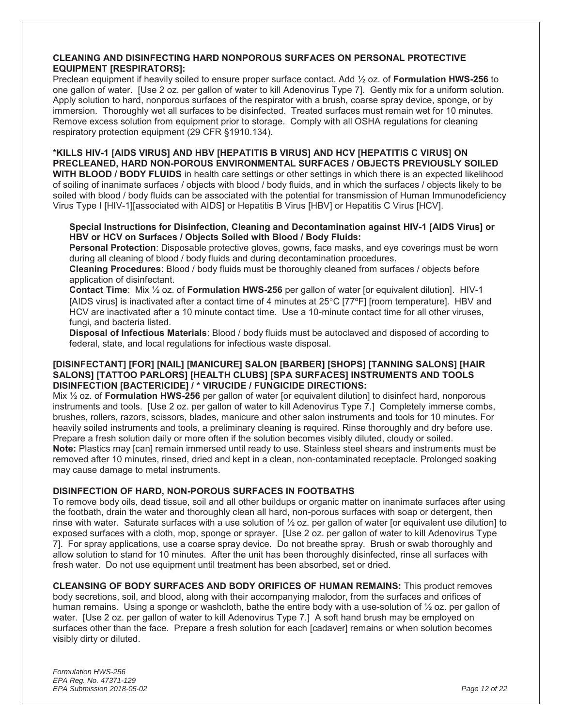#### **CLEANING AND DISINFECTING HARD NONPOROUS SURFACES ON PERSONAL PROTECTIVE EQUIPMENT [RESPIRATORS]:**

Preclean equipment if heavily soiled to ensure proper surface contact. Add ½ oz. of **Formulation HWS-256** to one gallon of water. [Use 2 oz. per gallon of water to kill Adenovirus Type 7]. Gently mix for a uniform solution. Apply solution to hard, nonporous surfaces of the respirator with a brush, coarse spray device, sponge, or by immersion. Thoroughly wet all surfaces to be disinfected. Treated surfaces must remain wet for 10 minutes. Remove excess solution from equipment prior to storage. Comply with all OSHA regulations for cleaning respiratory protection equipment (29 CFR §1910.134).

**\*KILLS HIV-1 [AIDS VIRUS] AND HBV [HEPATITIS B VIRUS] AND HCV [HEPATITIS C VIRUS] ON PRECLEANED, HARD NON-POROUS ENVIRONMENTAL SURFACES / OBJECTS PREVIOUSLY SOILED WITH BLOOD / BODY FLUIDS** in health care settings or other settings in which there is an expected likelihood of soiling of inanimate surfaces / objects with blood / body fluids, and in which the surfaces / objects likely to be soiled with blood / body fluids can be associated with the potential for transmission of Human Immunodeficiency Virus Type I [HIV-1][associated with AIDS] or Hepatitis B Virus [HBV] or Hepatitis C Virus [HCV].

#### **Special Instructions for Disinfection, Cleaning and Decontamination against HIV-1 [AIDS Virus] or HBV or HCV on Surfaces / Objects Soiled with Blood / Body Fluids:**

**Personal Protection**: Disposable protective gloves, gowns, face masks, and eye coverings must be worn during all cleaning of blood / body fluids and during decontamination procedures.

**Cleaning Procedures**: Blood / body fluids must be thoroughly cleaned from surfaces / objects before application of disinfectant.

**Contact Time**: Mix ½ oz. of **Formulation HWS-256** per gallon of water [or equivalent dilution]. HIV-1 [AIDS virus] is inactivated after a contact time of 4 minutes at  $25^{\circ}$ C [77<sup>o</sup>F] [room temperature]. HBV and HCV are inactivated after a 10 minute contact time. Use a 10-minute contact time for all other viruses, fungi, and bacteria listed.

**Disposal of Infectious Materials**: Blood / body fluids must be autoclaved and disposed of according to federal, state, and local regulations for infectious waste disposal.

#### **[DISINFECTANT] [FOR] [NAIL] [MANICURE] SALON [BARBER] [SHOPS] [TANNING SALONS] [HAIR SALONS] [TATTOO PARLORS] [HEALTH CLUBS] [SPA SURFACES] INSTRUMENTS AND TOOLS DISINFECTION [BACTERICIDE] / \* VIRUCIDE / FUNGICIDE DIRECTIONS:**

Mix ½ oz. of **Formulation HWS-256** per gallon of water [or equivalent dilution] to disinfect hard, nonporous instruments and tools. [Use 2 oz. per gallon of water to kill Adenovirus Type 7.] Completely immerse combs, brushes, rollers, razors, scissors, blades, manicure and other salon instruments and tools for 10 minutes. For heavily soiled instruments and tools, a preliminary cleaning is required. Rinse thoroughly and dry before use. Prepare a fresh solution daily or more often if the solution becomes visibly diluted, cloudy or soiled. **Note:** Plastics may [can] remain immersed until ready to use. Stainless steel shears and instruments must be removed after 10 minutes, rinsed, dried and kept in a clean, non-contaminated receptacle. Prolonged soaking may cause damage to metal instruments.

#### **DISINFECTION OF HARD, NON-POROUS SURFACES IN FOOTBATHS**

To remove body oils, dead tissue, soil and all other buildups or organic matter on inanimate surfaces after using the footbath, drain the water and thoroughly clean all hard, non-porous surfaces with soap or detergent, then rinse with water. Saturate surfaces with a use solution of ½ oz. per gallon of water [or equivalent use dilution] to exposed surfaces with a cloth, mop, sponge or sprayer. [Use 2 oz. per gallon of water to kill Adenovirus Type 7]. For spray applications, use a coarse spray device. Do not breathe spray. Brush or swab thoroughly and allow solution to stand for 10 minutes. After the unit has been thoroughly disinfected, rinse all surfaces with fresh water. Do not use equipment until treatment has been absorbed, set or dried.

**CLEANSING OF BODY SURFACES AND BODY ORIFICES OF HUMAN REMAINS:** This product removes body secretions, soil, and blood, along with their accompanying malodor, from the surfaces and orifices of human remains. Using a sponge or washcloth, bathe the entire body with a use-solution of ½ oz. per gallon of water. [Use 2 oz. per gallon of water to kill Adenovirus Type 7.] A soft hand brush may be employed on surfaces other than the face. Prepare a fresh solution for each [cadaver] remains or when solution becomes visibly dirty or diluted.

*Formulation HWS-256 EPA Reg. No. 47371-129 EPA Submission 2018-05-02 Page 12 of 22*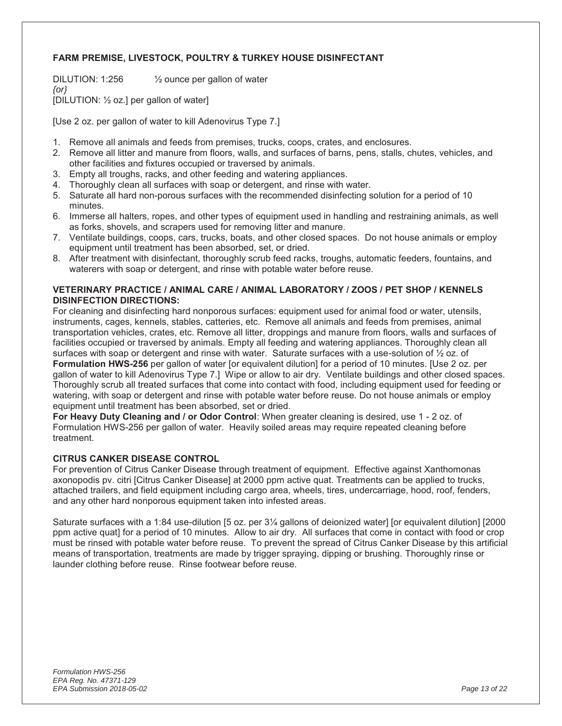#### **FARM PREMISE, LIVESTOCK, POULTRY & TURKEY HOUSE DISINFECTANT**

DILUTION: 1:256 ½ ounce per gallon of water *{or}* 

[DILUTION: ½ oz.] per gallon of water]

[Use 2 oz. per gallon of water to kill Adenovirus Type 7.]

- 1. Remove all animals and feeds from premises, trucks, coops, crates, and enclosures.
- 2. Remove all litter and manure from floors, walls, and surfaces of barns, pens, stalls, chutes, vehicles, and other facilities and fixtures occupied or traversed by animals.
- 3. Empty all troughs, racks, and other feeding and watering appliances.
- 4. Thoroughly clean all surfaces with soap or detergent, and rinse with water.
- 5. Saturate all hard non-porous surfaces with the recommended disinfecting solution for a period of 10 minutes.
- 6. Immerse all halters, ropes, and other types of equipment used in handling and restraining animals, as well as forks, shovels, and scrapers used for removing litter and manure.
- 7. Ventilate buildings, coops, cars, trucks, boats, and other closed spaces. Do not house animals or employ equipment until treatment has been absorbed, set, or dried.
- 8. After treatment with disinfectant, thoroughly scrub feed racks, troughs, automatic feeders, fountains, and waterers with soap or detergent, and rinse with potable water before reuse.

#### **VETERINARY PRACTICE / ANIMAL CARE / ANIMAL LABORATORY / ZOOS / PET SHOP / KENNELS DISINFECTION DIRECTIONS:**

For cleaning and disinfecting hard nonporous surfaces: equipment used for animal food or water, utensils, instruments, cages, kennels, stables, catteries, etc. Remove all animals and feeds from premises, animal transportation vehicles, crates, etc. Remove all litter, droppings and manure from floors, walls and surfaces of facilities occupied or traversed by animals. Empty all feeding and watering appliances. Thoroughly clean all surfaces with soap or detergent and rinse with water. Saturate surfaces with a use-solution of ½ oz. of **Formulation HWS-256** per gallon of water [or equivalent dilution] for a period of 10 minutes. [Use 2 oz. per gallon of water to kill Adenovirus Type 7.] Wipe or allow to air dry. Ventilate buildings and other closed spaces. Thoroughly scrub all treated surfaces that come into contact with food, including equipment used for feeding or watering, with soap or detergent and rinse with potable water before reuse. Do not house animals or employ equipment until treatment has been absorbed, set or dried.

**For Heavy Duty Cleaning and / or Odor Control**: When greater cleaning is desired, use 1 - 2 oz. of Formulation HWS-256 per gallon of water. Heavily soiled areas may require repeated cleaning before treatment.

#### **CITRUS CANKER DISEASE CONTROL**

For prevention of Citrus Canker Disease through treatment of equipment. Effective against Xanthomonas axonopodis pv. citri [Citrus Canker Disease] at 2000 ppm active quat. Treatments can be applied to trucks, attached trailers, and field equipment including cargo area, wheels, tires, undercarriage, hood, roof, fenders, and any other hard nonporous equipment taken into infested areas.

Saturate surfaces with a 1:84 use-dilution [5 oz. per 3¼ gallons of deionized water] [or equivalent dilution] [2000 ppm active quat] for a period of 10 minutes. Allow to air dry. All surfaces that come in contact with food or crop must be rinsed with potable water before reuse. To prevent the spread of Citrus Canker Disease by this artificial means of transportation, treatments are made by trigger spraying, dipping or brushing. Thoroughly rinse or launder clothing before reuse. Rinse footwear before reuse.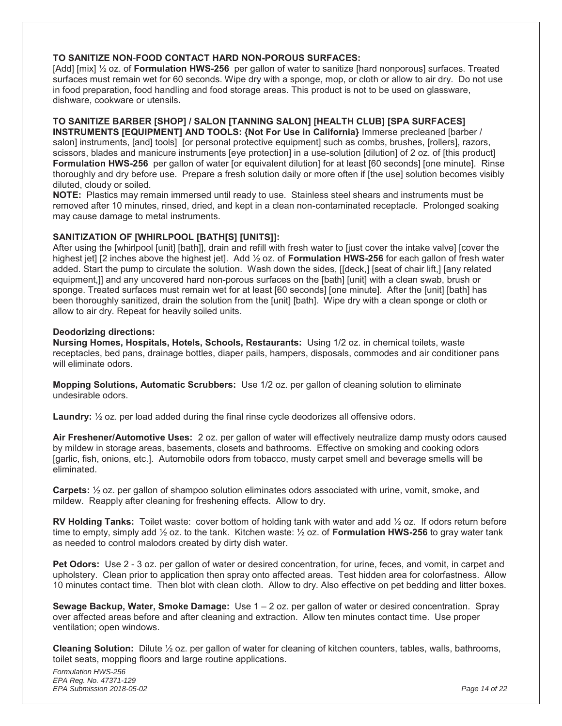#### **TO SANITIZE NON**-**FOOD CONTACT HARD NON-POROUS SURFACES:**

[Add] [mix] ½ oz. of **Formulation HWS-256** per gallon of water to sanitize [hard nonporous] surfaces. Treated surfaces must remain wet for 60 seconds. Wipe dry with a sponge, mop, or cloth or allow to air dry. Do not use in food preparation, food handling and food storage areas. This product is not to be used on glassware, dishware, cookware or utensils**.** 

#### **TO SANITIZE BARBER [SHOP] / SALON [TANNING SALON] [HEALTH CLUB] [SPA SURFACES]**

**INSTRUMENTS [EQUIPMENT] AND TOOLS: {Not For Use in California}** Immerse precleaned [barber / salon] instruments, [and] tools] [or personal protective equipment] such as combs, brushes, [rollers], razors, scissors, blades and manicure instruments [eye protection] in a use-solution [dilution] of 2 oz. of [this product] **Formulation HWS-256** per gallon of water [or equivalent dilution] for at least [60 seconds] [one minute]. Rinse thoroughly and dry before use. Prepare a fresh solution daily or more often if [the use] solution becomes visibly diluted, cloudy or soiled.

**NOTE:** Plastics may remain immersed until ready to use. Stainless steel shears and instruments must be removed after 10 minutes, rinsed, dried, and kept in a clean non-contaminated receptacle. Prolonged soaking may cause damage to metal instruments.

#### **SANITIZATION OF [WHIRLPOOL [BATH[S] [UNITS]]:**

After using the [whirlpool [unit] [bath]], drain and refill with fresh water to [just cover the intake valve] [cover the highest jet] [2 inches above the highest jet]. Add ½ oz. of **Formulation HWS-256** for each gallon of fresh water added. Start the pump to circulate the solution. Wash down the sides, [[deck,] [seat of chair lift,] [any related equipment,]] and any uncovered hard non-porous surfaces on the [bath] [unit] with a clean swab, brush or sponge. Treated surfaces must remain wet for at least [60 seconds] [one minute]. After the [unit] [bath] has been thoroughly sanitized, drain the solution from the [unit] [bath]. Wipe dry with a clean sponge or cloth or allow to air dry. Repeat for heavily soiled units.

#### **Deodorizing directions:**

**Nursing Homes, Hospitals, Hotels, Schools, Restaurants:** Using 1/2 oz. in chemical toilets, waste receptacles, bed pans, drainage bottles, diaper pails, hampers, disposals, commodes and air conditioner pans will eliminate odors.

**Mopping Solutions, Automatic Scrubbers:** Use 1/2 oz. per gallon of cleaning solution to eliminate undesirable odors.

**Laundry:** ½ oz. per load added during the final rinse cycle deodorizes all offensive odors.

**Air Freshener/Automotive Uses:** 2 oz. per gallon of water will effectively neutralize damp musty odors caused by mildew in storage areas, basements, closets and bathrooms. Effective on smoking and cooking odors [garlic, fish, onions, etc.]. Automobile odors from tobacco, musty carpet smell and beverage smells will be eliminated.

**Carpets:** ½ oz. per gallon of shampoo solution eliminates odors associated with urine, vomit, smoke, and mildew. Reapply after cleaning for freshening effects. Allow to dry.

**RV Holding Tanks:** Toilet waste: cover bottom of holding tank with water and add ½ oz. If odors return before time to empty, simply add ½ oz. to the tank. Kitchen waste: ½ oz. of **Formulation HWS-256** to gray water tank as needed to control malodors created by dirty dish water.

**Pet Odors:** Use 2 - 3 oz. per gallon of water or desired concentration, for urine, feces, and vomit, in carpet and upholstery. Clean prior to application then spray onto affected areas. Test hidden area for colorfastness. Allow 10 minutes contact time. Then blot with clean cloth. Allow to dry. Also effective on pet bedding and litter boxes.

**Sewage Backup, Water, Smoke Damage:** Use 1 – 2 oz. per gallon of water or desired concentration. Spray over affected areas before and after cleaning and extraction. Allow ten minutes contact time. Use proper ventilation; open windows.

**Cleaning Solution:** Dilute ½ oz. per gallon of water for cleaning of kitchen counters, tables, walls, bathrooms, toilet seats, mopping floors and large routine applications.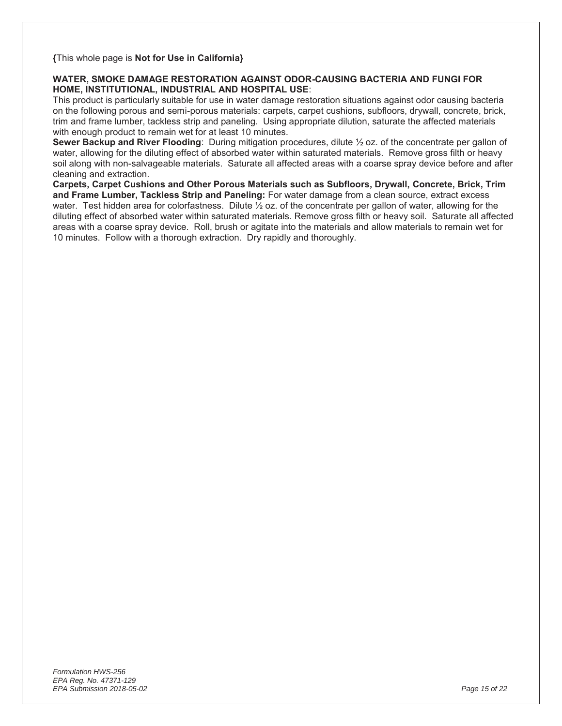**{**This whole page is **Not for Use in California}** 

#### **WATER, SMOKE DAMAGE RESTORATION AGAINST ODOR-CAUSING BACTERIA AND FUNGI FOR HOME, INSTITUTIONAL, INDUSTRIAL AND HOSPITAL USE**:

This product is particularly suitable for use in water damage restoration situations against odor causing bacteria on the following porous and semi-porous materials: carpets, carpet cushions, subfloors, drywall, concrete, brick, trim and frame lumber, tackless strip and paneling. Using appropriate dilution, saturate the affected materials with enough product to remain wet for at least 10 minutes.

**Sewer Backup and River Flooding**: During mitigation procedures, dilute ½ oz. of the concentrate per gallon of water, allowing for the diluting effect of absorbed water within saturated materials. Remove gross filth or heavy soil along with non-salvageable materials. Saturate all affected areas with a coarse spray device before and after cleaning and extraction.

**Carpets, Carpet Cushions and Other Porous Materials such as Subfloors, Drywall, Concrete, Brick, Trim and Frame Lumber, Tackless Strip and Paneling:** For water damage from a clean source, extract excess water. Test hidden area for colorfastness. Dilute ½ oz. of the concentrate per gallon of water, allowing for the diluting effect of absorbed water within saturated materials. Remove gross filth or heavy soil. Saturate all affected areas with a coarse spray device. Roll, brush or agitate into the materials and allow materials to remain wet for 10 minutes. Follow with a thorough extraction. Dry rapidly and thoroughly.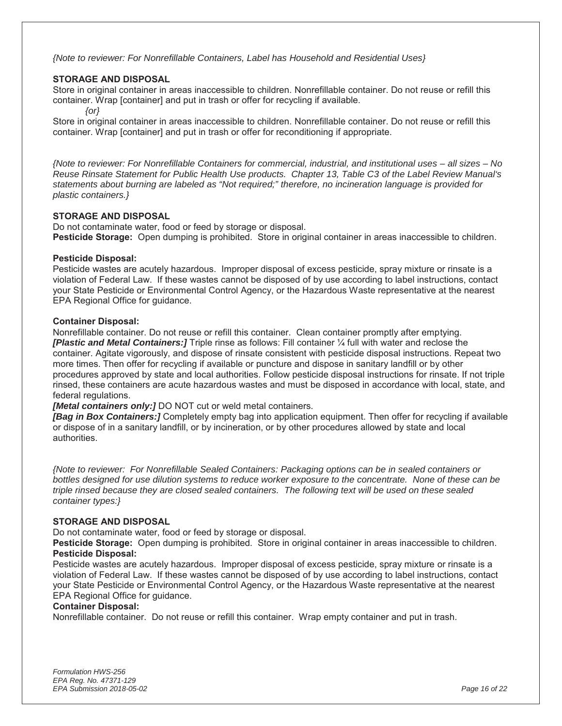*{Note to reviewer: For Nonrefillable Containers, Label has Household and Residential Uses}* 

#### **STORAGE AND DISPOSAL**

Store in original container in areas inaccessible to children. Nonrefillable container. Do not reuse or refill this container. Wrap [container] and put in trash or offer for recycling if available.

*{or}* 

Store in original container in areas inaccessible to children. Nonrefillable container. Do not reuse or refill this container. Wrap [container] and put in trash or offer for reconditioning if appropriate.

*{Note to reviewer: For Nonrefillable Containers for commercial, industrial, and institutional uses – all sizes – No Reuse Rinsate Statement for Public Health Use products. Chapter 13, Table C3 of the Label Review Manual's statements about burning are labeled as "Not required;" therefore, no incineration language is provided for plastic containers.}* 

#### **STORAGE AND DISPOSAL**

Do not contaminate water, food or feed by storage or disposal. **Pesticide Storage:** Open dumping is prohibited. Store in original container in areas inaccessible to children.

#### **Pesticide Disposal:**

Pesticide wastes are acutely hazardous. Improper disposal of excess pesticide, spray mixture or rinsate is a violation of Federal Law. If these wastes cannot be disposed of by use according to label instructions, contact your State Pesticide or Environmental Control Agency, or the Hazardous Waste representative at the nearest EPA Regional Office for guidance.

#### **Container Disposal:**

Nonrefillable container. Do not reuse or refill this container. Clean container promptly after emptying. *[Plastic and Metal Containers:]* Triple rinse as follows: Fill container ¼ full with water and reclose the container. Agitate vigorously, and dispose of rinsate consistent with pesticide disposal instructions. Repeat two more times. Then offer for recycling if available or puncture and dispose in sanitary landfill or by other procedures approved by state and local authorities. Follow pesticide disposal instructions for rinsate. If not triple rinsed, these containers are acute hazardous wastes and must be disposed in accordance with local, state, and federal regulations.

*[Metal containers only:]* DO NOT cut or weld metal containers.

*[Bag in Box Containers:]* Completely empty bag into application equipment. Then offer for recycling if available or dispose of in a sanitary landfill, or by incineration, or by other procedures allowed by state and local authorities.

*{Note to reviewer: For Nonrefillable Sealed Containers: Packaging options can be in sealed containers or*  bottles designed for use dilution systems to reduce worker exposure to the concentrate. None of these can be *triple rinsed because they are closed sealed containers. The following text will be used on these sealed container types:}* 

#### **STORAGE AND DISPOSAL**

Do not contaminate water, food or feed by storage or disposal.

**Pesticide Storage:** Open dumping is prohibited. Store in original container in areas inaccessible to children. **Pesticide Disposal:** 

Pesticide wastes are acutely hazardous. Improper disposal of excess pesticide, spray mixture or rinsate is a violation of Federal Law. If these wastes cannot be disposed of by use according to label instructions, contact your State Pesticide or Environmental Control Agency, or the Hazardous Waste representative at the nearest EPA Regional Office for guidance.

#### **Container Disposal:**

Nonrefillable container. Do not reuse or refill this container. Wrap empty container and put in trash.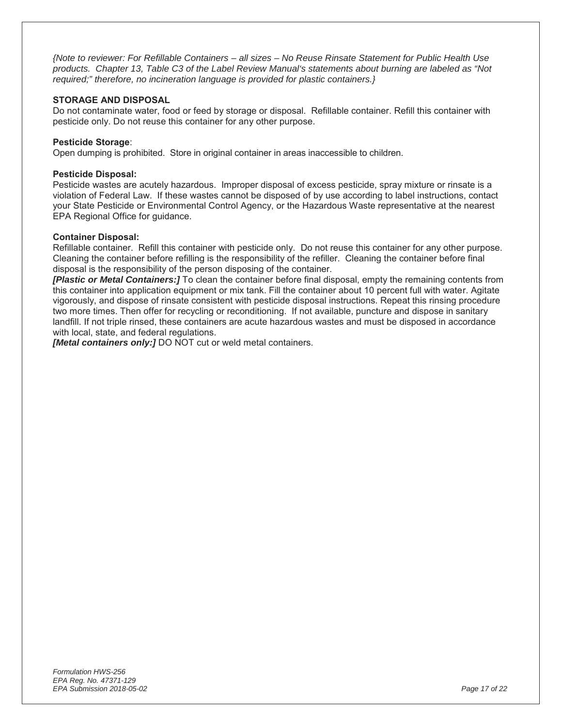*{Note to reviewer: For Refillable Containers – all sizes – No Reuse Rinsate Statement for Public Health Use products. Chapter 13, Table C3 of the Label Review Manual's statements about burning are labeled as "Not required;" therefore, no incineration language is provided for plastic containers.}* 

#### **STORAGE AND DISPOSAL**

Do not contaminate water, food or feed by storage or disposal. Refillable container. Refill this container with pesticide only. Do not reuse this container for any other purpose.

#### **Pesticide Storage**:

Open dumping is prohibited. Store in original container in areas inaccessible to children.

#### **Pesticide Disposal:**

Pesticide wastes are acutely hazardous. Improper disposal of excess pesticide, spray mixture or rinsate is a violation of Federal Law. If these wastes cannot be disposed of by use according to label instructions, contact your State Pesticide or Environmental Control Agency, or the Hazardous Waste representative at the nearest EPA Regional Office for guidance.

#### **Container Disposal:**

Refillable container. Refill this container with pesticide only. Do not reuse this container for any other purpose. Cleaning the container before refilling is the responsibility of the refiller. Cleaning the container before final disposal is the responsibility of the person disposing of the container.

*[Plastic or Metal Containers:]* To clean the container before final disposal, empty the remaining contents from this container into application equipment or mix tank. Fill the container about 10 percent full with water. Agitate vigorously, and dispose of rinsate consistent with pesticide disposal instructions. Repeat this rinsing procedure two more times. Then offer for recycling or reconditioning. If not available, puncture and dispose in sanitary landfill. If not triple rinsed, these containers are acute hazardous wastes and must be disposed in accordance with local, state, and federal regulations.

*[Metal containers only:]* DO NOT cut or weld metal containers.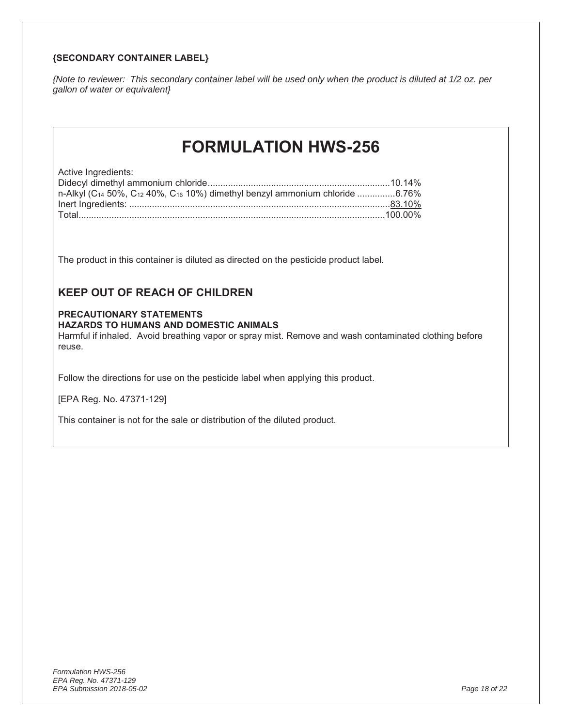#### **{SECONDARY CONTAINER LABEL}**

*{Note to reviewer: This secondary container label will be used only when the product is diluted at 1/2 oz. per gallon of water or equivalent}* 

## **FORMULATION HWS-256**

Active Ingredients:

| n-Alkyl (C <sub>14</sub> 50%, C <sub>12</sub> 40%, C <sub>16</sub> 10%) dimethyl benzyl ammonium chloride 6.76% |  |
|-----------------------------------------------------------------------------------------------------------------|--|
|                                                                                                                 |  |
|                                                                                                                 |  |
|                                                                                                                 |  |

The product in this container is diluted as directed on the pesticide product label.

#### **KEEP OUT OF REACH OF CHILDREN**

#### **PRECAUTIONARY STATEMENTS**

#### **HAZARDS TO HUMANS AND DOMESTIC ANIMALS**

Harmful if inhaled. Avoid breathing vapor or spray mist. Remove and wash contaminated clothing before reuse.

Follow the directions for use on the pesticide label when applying this product.

[EPA Reg. No. 47371-129]

This container is not for the sale or distribution of the diluted product.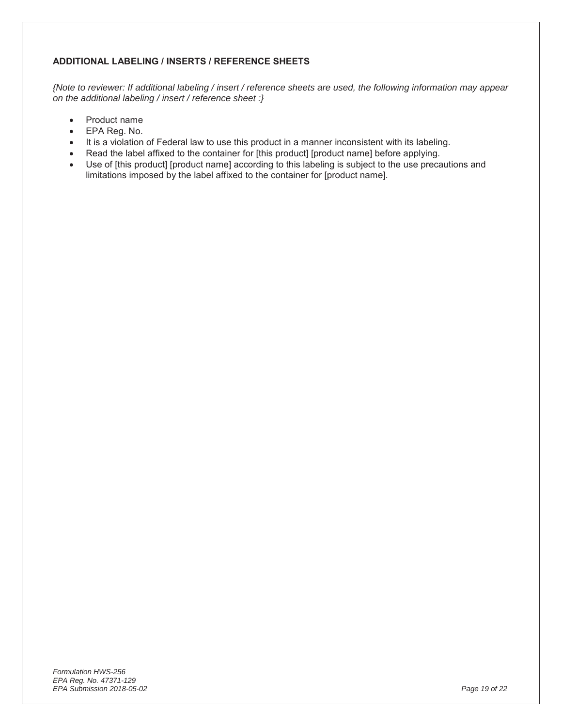#### **ADDITIONAL LABELING / INSERTS / REFERENCE SHEETS**

*{Note to reviewer: If additional labeling / insert / reference sheets are used, the following information may appear on the additional labeling / insert / reference sheet :}* 

- Product name
- EPA Reg. No.
- It is a violation of Federal law to use this product in a manner inconsistent with its labeling.
- Read the label affixed to the container for [this product] [product name] before applying.
- Use of [this product] [product name] according to this labeling is subject to the use precautions and limitations imposed by the label affixed to the container for [product name].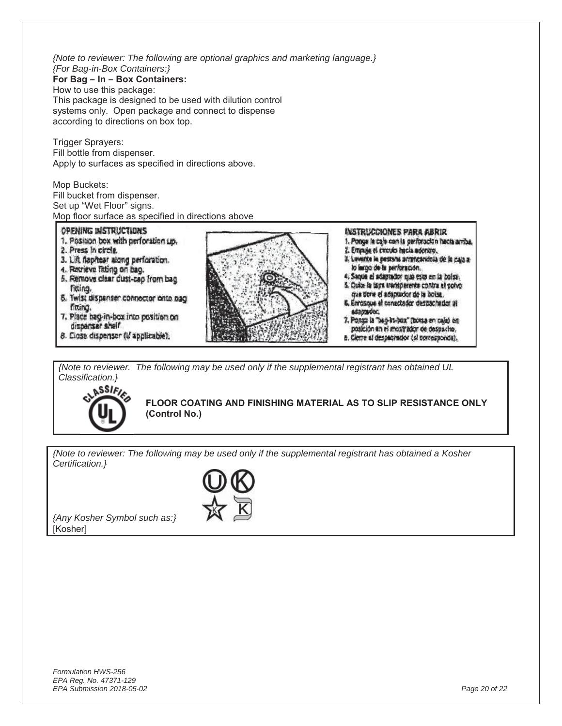*{Note to reviewer: The following are optional graphics and marketing language.} {For Bag-in-Box Containers:}*

**For Bag – In – Box Containers:** How to use this package:

This package is designed to be used with dilution control systems only. Open package and connect to dispense according to directions on box top.

**Trigger Sprayers:** Fill bottle from dispenser. Apply to surfaces as specified in directions above.

Mop Buckets: Fill bucket from dispenser. Set up "Wet Floor" signs. Mop floor surface as specified in directions above

OPENING INSTRUCTIONS **INSTRUCCIONES PARA ABRIR** 1. Position box with perforation up. 1. Ponge la caje con la perforación hacta arriba. 2. Press In circle. 2. Empuje el creulo hecla adentro. 2. Levente le pestone arrancandola de la caja a-3. Lift flaphear along perforation, 4. Retrieve fitting on bag. lo impo de la perforación. 4. Saque el adaptador que esta en la bolsa. 5. Remove clear dust-cap from bag 5. Quite la tapa transparence contra el polvo fitting. que deve el adsplador de la bolsa. 5. Twist dispenser connector onto bag 6. Enrosque el conectador desissonador al fitting. saptsdoc, 7. Place bag-in-box into position on 7. Ponga la "bag-kt-box" (botsa en caja) en dispenser shelf. posición an el mostrador de despacho. 8. Close dispensor (if applicable), a. Cierre si despechador (si corresponds).

*{Note to reviewer. The following may be used only if the supplemental registrant has obtained UL Classification.}*



**FLOOR COATING AND FINISHING MATERIAL AS TO SLIP RESISTANCE ONLY (Control No.)**

*{Note to reviewer: The following may be used only if the supplemental registrant has obtained a Kosher Certification.}* 

*{Any Kosher Symbol such as:}*  [Kosher]

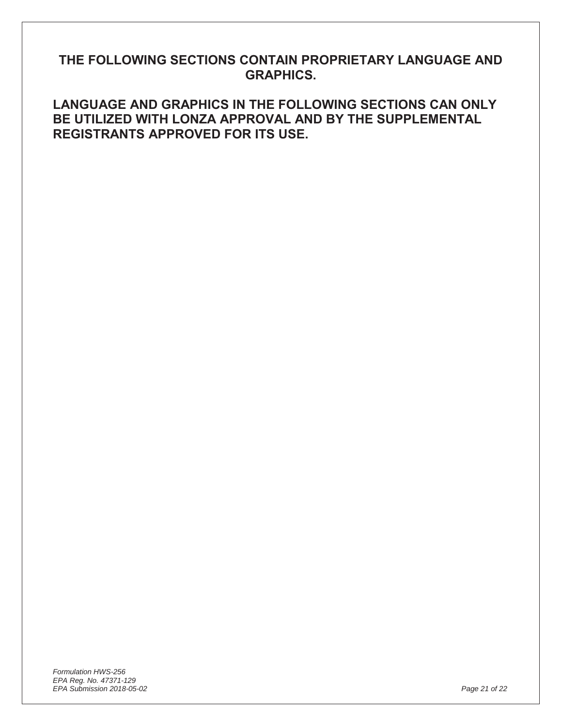## **THE FOLLOWING SECTIONS CONTAIN PROPRIETARY LANGUAGE AND GRAPHICS.**

**LANGUAGE AND GRAPHICS IN THE FOLLOWING SECTIONS CAN ONLY BE UTILIZED WITH LONZA APPROVAL AND BY THE SUPPLEMENTAL REGISTRANTS APPROVED FOR ITS USE.**

*Formulation HWS-256 EPA Reg. No. 47371-129 EPA Submission 2018-05-02 Page 21 of 22*